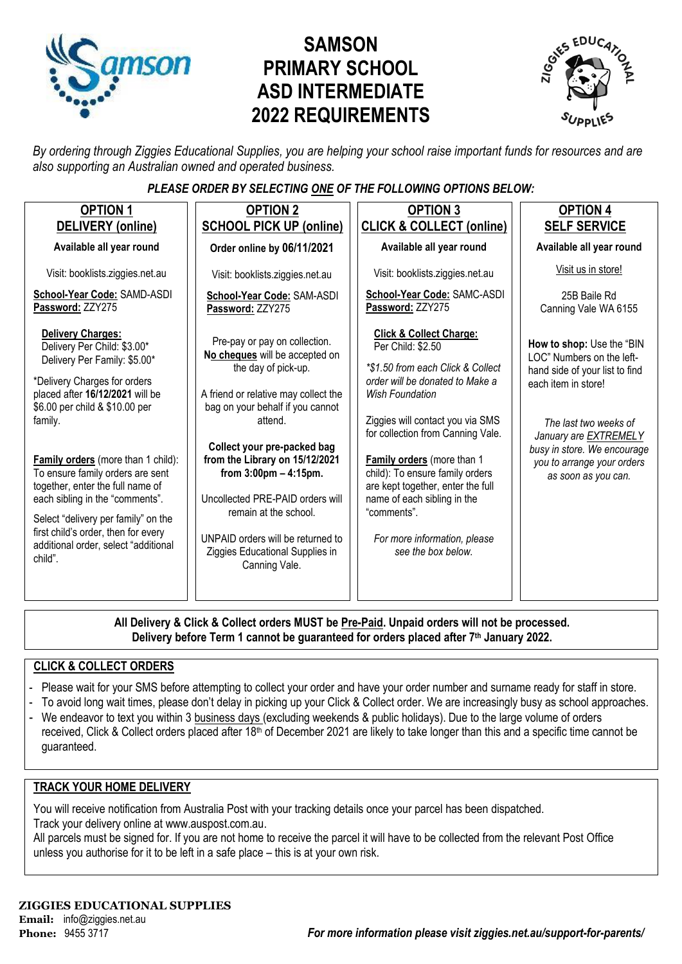

# **SAMSON PRIMARY SCHOOL ASD INTERMEDIATE 2022 REQUIREMENTS**



*By ordering through Ziggies Educational Supplies, you are helping your school raise important funds for resources and are also supporting an Australian owned and operated business.*

### *PLEASE ORDER BY SELECTING ONE OF THE FOLLOWING OPTIONS BELOW:*

| <b>OPTION 1</b><br>DELIVERY (online)                                                                                                                                                                                                                                                                                                                                                                                                                                                             | <b>OPTION 2</b><br><b>SCHOOL PICK UP (online)</b>                                                                                                                                                                                                                                                                                                                                                                                                | <b>OPTION 3</b><br><b>CLICK &amp; COLLECT (online)</b>                                                                                                                                                                                                                                                                                                                                                                                       | <b>OPTION 4</b><br><b>SELF SERVICE</b>                                                                                                                                                                                                                       |
|--------------------------------------------------------------------------------------------------------------------------------------------------------------------------------------------------------------------------------------------------------------------------------------------------------------------------------------------------------------------------------------------------------------------------------------------------------------------------------------------------|--------------------------------------------------------------------------------------------------------------------------------------------------------------------------------------------------------------------------------------------------------------------------------------------------------------------------------------------------------------------------------------------------------------------------------------------------|----------------------------------------------------------------------------------------------------------------------------------------------------------------------------------------------------------------------------------------------------------------------------------------------------------------------------------------------------------------------------------------------------------------------------------------------|--------------------------------------------------------------------------------------------------------------------------------------------------------------------------------------------------------------------------------------------------------------|
| Available all year round                                                                                                                                                                                                                                                                                                                                                                                                                                                                         | Order online by 06/11/2021                                                                                                                                                                                                                                                                                                                                                                                                                       | Available all year round                                                                                                                                                                                                                                                                                                                                                                                                                     | Available all year round                                                                                                                                                                                                                                     |
| Visit: booklists.ziggies.net.au                                                                                                                                                                                                                                                                                                                                                                                                                                                                  | Visit: booklists.ziggies.net.au                                                                                                                                                                                                                                                                                                                                                                                                                  | Visit: booklists.ziggies.net.au                                                                                                                                                                                                                                                                                                                                                                                                              | Visit us in store!                                                                                                                                                                                                                                           |
| School-Year Code: SAMD-ASDI<br>Password: ZZY275                                                                                                                                                                                                                                                                                                                                                                                                                                                  | School-Year Code: SAM-ASDI<br>Password: ZZY275                                                                                                                                                                                                                                                                                                                                                                                                   | School-Year Code: SAMC-ASDI<br>Password: ZZY275                                                                                                                                                                                                                                                                                                                                                                                              | 25B Baile Rd<br>Canning Vale WA 6155                                                                                                                                                                                                                         |
| <b>Delivery Charges:</b><br>Delivery Per Child: \$3.00*<br>Delivery Per Family: \$5.00*<br>*Delivery Charges for orders<br>placed after 16/12/2021 will be<br>\$6.00 per child & \$10.00 per<br>family.<br><b>Family orders</b> (more than 1 child):<br>To ensure family orders are sent<br>together, enter the full name of<br>each sibling in the "comments".<br>Select "delivery per family" on the<br>first child's order, then for every<br>additional order, select "additional<br>child". | Pre-pay or pay on collection.<br>No cheques will be accepted on<br>the day of pick-up.<br>A friend or relative may collect the<br>bag on your behalf if you cannot<br>attend.<br>Collect your pre-packed bag<br>from the Library on 15/12/2021<br>from $3:00 \text{pm} - 4:15 \text{pm}$ .<br>Uncollected PRE-PAID orders will<br>remain at the school.<br>UNPAID orders will be returned to<br>Ziggies Educational Supplies in<br>Canning Vale. | <b>Click &amp; Collect Charge:</b><br>Per Child: \$2.50<br>*\$1.50 from each Click & Collect<br>order will be donated to Make a<br><b>Wish Foundation</b><br>Ziggies will contact you via SMS<br>for collection from Canning Vale.<br>Family orders (more than 1<br>child): To ensure family orders<br>are kept together, enter the full<br>name of each sibling in the<br>"comments".<br>For more information, please<br>see the box below. | How to shop: Use the "BIN<br>LOC" Numbers on the left-<br>hand side of your list to find<br>each item in store!<br>The last two weeks of<br>January are <b>EXTREMELY</b><br>busy in store. We encourage<br>you to arrange your orders<br>as soon as you can. |
|                                                                                                                                                                                                                                                                                                                                                                                                                                                                                                  |                                                                                                                                                                                                                                                                                                                                                                                                                                                  |                                                                                                                                                                                                                                                                                                                                                                                                                                              |                                                                                                                                                                                                                                                              |

**All Delivery & Click & Collect orders MUST be Pre-Paid. Unpaid orders will not be processed. Delivery before Term 1 cannot be guaranteed for orders placed after 7th January 2022.**

#### **CLICK & COLLECT ORDERS**

- Please wait for your SMS before attempting to collect your order and have your order number and surname ready for staff in store.
- To avoid long wait times, please don't delay in picking up your Click & Collect order. We are increasingly busy as school approaches.
- We endeavor to text you within 3 business days (excluding weekends & public holidays). Due to the large volume of orders received, Click & Collect orders placed after 18<sup>th</sup> of December 2021 are likely to take longer than this and a specific time cannot be guaranteed.

#### **TRACK YOUR HOME DELIVERY**

You will receive notification from Australia Post with your tracking details once your parcel has been dispatched. Track your delivery online a[t www.auspost.com.au.](http://www.auspost.com.au/)

All parcels must be signed for. If you are not home to receive the parcel it will have to be collected from the relevant Post Office unless you authorise for it to be left in a safe place – this is at your own risk.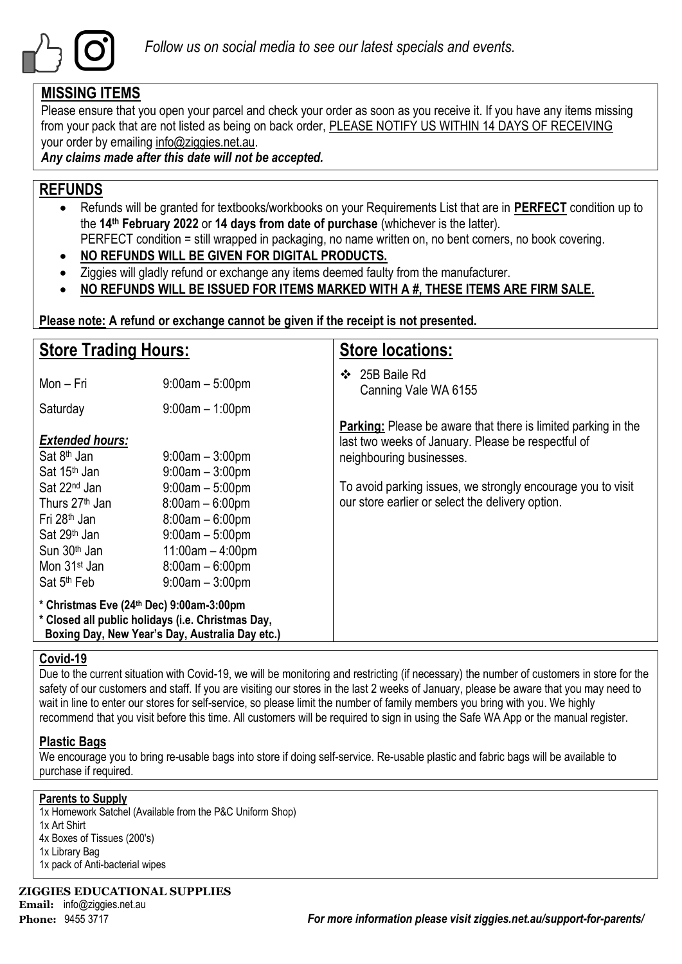

### **MISSING ITEMS**

Please ensure that you open your parcel and check your order as soon as you receive it. If you have any items missing from your pack that are not listed as being on back order, PLEASE NOTIFY US WITHIN 14 DAYS OF RECEIVING your order by emailing info@ziggies.net.au.

*Any claims made after this date will not be accepted.*

### **REFUNDS**

- Refunds will be granted for textbooks/workbooks on your Requirements List that are in **PERFECT** condition up to the **14th February 2022** or **14 days from date of purchase** (whichever is the latter). PERFECT condition = still wrapped in packaging, no name written on, no bent corners, no book covering.
- **NO REFUNDS WILL BE GIVEN FOR DIGITAL PRODUCTS.**
- Ziggies will gladly refund or exchange any items deemed faulty from the manufacturer.
- **NO REFUNDS WILL BE ISSUED FOR ITEMS MARKED WITH A #, THESE ITEMS ARE FIRM SALE.**

**Please note: A refund or exchange cannot be given if the receipt is not presented.**

| <b>Store Trading Hours:</b>                                                                                                                                                                                                                                                        |                                                                                                                                                                                                        | <b>Store locations:</b>                                                                                                                                                                                                                                                   |  |  |
|------------------------------------------------------------------------------------------------------------------------------------------------------------------------------------------------------------------------------------------------------------------------------------|--------------------------------------------------------------------------------------------------------------------------------------------------------------------------------------------------------|---------------------------------------------------------------------------------------------------------------------------------------------------------------------------------------------------------------------------------------------------------------------------|--|--|
| Mon – Fri                                                                                                                                                                                                                                                                          | $9:00$ am $-5:00$ pm                                                                                                                                                                                   | 25B Baile Rd<br>$\bullet$<br>Canning Vale WA 6155                                                                                                                                                                                                                         |  |  |
| Saturday                                                                                                                                                                                                                                                                           | $9:00$ am $-1:00$ pm                                                                                                                                                                                   |                                                                                                                                                                                                                                                                           |  |  |
| <b>Extended hours:</b><br>Sat 8 <sup>th</sup> Jan<br>Sat 15 <sup>th</sup> Jan<br>Sat 22 <sup>nd</sup> Jan<br>Thurs 27 <sup>th</sup> Jan<br>Fri 28 <sup>th</sup> Jan<br>Sat 29 <sup>th</sup> Jan<br>Sun 30 <sup>th</sup> Jan<br>Mon 31 <sup>st</sup> Jan<br>Sat 5 <sup>th</sup> Feb | $9:00$ am $-3:00$ pm<br>$9:00$ am $-3:00$ pm<br>$9:00$ am $-5:00$ pm<br>$8:00am - 6:00pm$<br>$8:00am - 6:00pm$<br>$9:00$ am $-5:00$ pm<br>$11:00am - 4:00pm$<br>$8:00am - 6:00pm$<br>$9:00am - 3:00pm$ | <b>Parking:</b> Please be aware that there is limited parking in the<br>last two weeks of January. Please be respectful of<br>neighbouring businesses.<br>To avoid parking issues, we strongly encourage you to visit<br>our store earlier or select the delivery option. |  |  |
| * Christmas Eve (24th Dec) 9:00am-3:00pm<br>* Closed all public holidays (i.e. Christmas Day,                                                                                                                                                                                      | Boxing Day, New Year's Day, Australia Day etc.)                                                                                                                                                        |                                                                                                                                                                                                                                                                           |  |  |

### **Covid-19**

Due to the current situation with Covid-19, we will be monitoring and restricting (if necessary) the number of customers in store for the safety of our customers and staff. If you are visiting our stores in the last 2 weeks of January, please be aware that you may need to wait in line to enter our stores for self-service, so please limit the number of family members you bring with you. We highly recommend that you visit before this time. All customers will be required to sign in using the Safe WA App or the manual register.

### **Plastic Bags**

We encourage you to bring re-usable bags into store if doing self-service. Re-usable plastic and fabric bags will be available to purchase if required.

#### **Parents to Supply**

1x Homework Satchel (Available from the P&C Uniform Shop) 1x Art Shirt 4x Boxes of Tissues (200's) 1x Library Bag 1x pack of Anti-bacterial wipes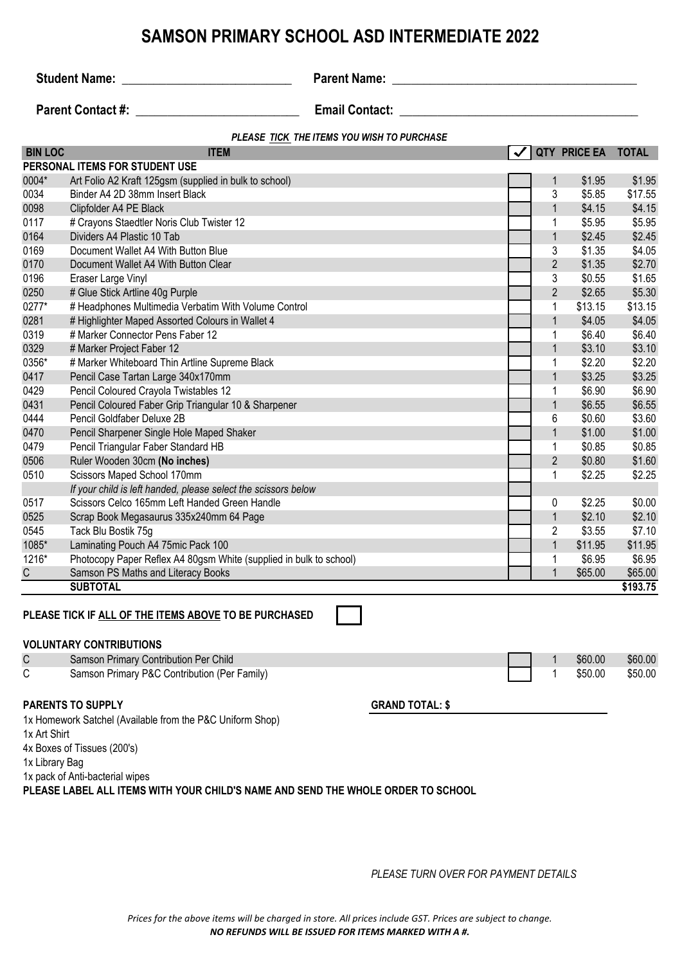## **SAMSON PRIMARY SCHOOL ASD INTERMEDIATE 2022**

**Student Name:** \_\_\_\_\_\_\_\_\_\_\_\_\_\_\_\_\_\_\_\_\_\_\_\_\_\_\_ **Parent Name: \_\_\_\_\_\_\_\_\_\_\_\_\_\_\_\_\_\_\_\_\_\_\_\_\_\_\_\_\_\_\_\_\_\_\_\_\_\_\_**

**Parent Contact #:**  $\qquad \qquad$  **Email Contact:**  $\qquad \qquad$ 

|                | PLEASE TICK THE ITEMS YOU WISH TO PURCHASE                                              |  |                |                     |              |
|----------------|-----------------------------------------------------------------------------------------|--|----------------|---------------------|--------------|
| <b>BIN LOC</b> | <b>ITEM</b>                                                                             |  |                | <b>QTY PRICE EA</b> | <b>TOTAL</b> |
|                | PERSONAL ITEMS FOR STUDENT USE                                                          |  |                |                     |              |
| 0004*          | Art Folio A2 Kraft 125gsm (supplied in bulk to school)                                  |  | 1              | \$1.95              | \$1.95       |
| 0034           | Binder A4 2D 38mm Insert Black                                                          |  | 3              | \$5.85              | \$17.55      |
| 0098           | Clipfolder A4 PE Black                                                                  |  | $\mathbf{1}$   | \$4.15              | \$4.15       |
| 0117           | # Crayons Staedtler Noris Club Twister 12                                               |  | 1              | \$5.95              | \$5.95       |
| 0164           | Dividers A4 Plastic 10 Tab                                                              |  | 1              | \$2.45              | \$2.45       |
| 0169           | Document Wallet A4 With Button Blue                                                     |  | 3              | \$1.35              | \$4.05       |
| 0170           | Document Wallet A4 With Button Clear                                                    |  | $\overline{2}$ | \$1.35              | \$2.70       |
| 0196           | Eraser Large Vinyl                                                                      |  | 3              | \$0.55              | \$1.65       |
| 0250           | # Glue Stick Artline 40g Purple                                                         |  | $\overline{2}$ | \$2.65              | \$5.30       |
| 0277*          | # Headphones Multimedia Verbatim With Volume Control                                    |  | 1              | \$13.15             | \$13.15      |
| 0281           | # Highlighter Maped Assorted Colours in Wallet 4                                        |  | $\mathbf{1}$   | \$4.05              | \$4.05       |
| 0319           | # Marker Connector Pens Faber 12                                                        |  | 1              | \$6.40              | \$6.40       |
| 0329           | # Marker Project Faber 12                                                               |  | $\mathbf{1}$   | \$3.10              | \$3.10       |
| 0356*          | # Marker Whiteboard Thin Artline Supreme Black                                          |  | 1              | \$2.20              | \$2.20       |
| 0417           | Pencil Case Tartan Large 340x170mm                                                      |  | 1              | \$3.25              | \$3.25       |
| 0429           | Pencil Coloured Crayola Twistables 12                                                   |  | 1              | \$6.90              | \$6.90       |
| 0431           | Pencil Coloured Faber Grip Triangular 10 & Sharpener                                    |  |                | \$6.55              | \$6.55       |
| 0444           | Pencil Goldfaber Deluxe 2B                                                              |  |                | \$0.60              | \$3.60       |
| 0470           | Pencil Sharpener Single Hole Maped Shaker                                               |  |                | \$1.00              | \$1.00       |
| 0479           | Pencil Triangular Faber Standard HB                                                     |  | 1              | \$0.85              | \$0.85       |
| 0506           | Ruler Wooden 30cm (No inches)                                                           |  | $\sqrt{2}$     | \$0.80              | \$1.60       |
| 0510           | Scissors Maped School 170mm                                                             |  |                | \$2.25              | \$2.25       |
|                | If your child is left handed, please select the scissors below                          |  |                |                     |              |
| 0517           | Scissors Celco 165mm Left Handed Green Handle                                           |  | 0              | \$2.25              | \$0.00       |
| 0525           | Scrap Book Megasaurus 335x240mm 64 Page                                                 |  | 1              | \$2.10              | \$2.10       |
| 0545           | Tack Blu Bostik 75g                                                                     |  | 2              | \$3.55              | \$7.10       |
| 1085*          | Laminating Pouch A4 75mic Pack 100                                                      |  | 1              | \$11.95             | \$11.95      |
| $1216*$        | Photocopy Paper Reflex A4 80gsm White (supplied in bulk to school)                      |  | 1              | \$6.95              | \$6.95       |
| $\overline{C}$ | Samson PS Maths and Literacy Books                                                      |  | 1              | \$65.00             | \$65.00      |
|                | <b>SUBTOTAL</b>                                                                         |  |                |                     | \$193.75     |
|                | PLEASE TICK IF ALL OF THE ITEMS ABOVE TO BE PURCHASED<br><b>VOLUNTARY CONTRIBUTIONS</b> |  |                |                     |              |
| $\mathsf C$    | Samson Primary Contribution Per Child                                                   |  | 1              | \$60.00             | \$60.00      |
| C              | Samson Primary P&C Contribution (Per Family)                                            |  | 1              | \$50.00             | \$50.00      |

#### **PARENTS TO SUPPLY GRAND TOTAL: \$**

1x Homework Satchel (Available from the P&C Uniform Shop)

1x Art Shirt

4x Boxes of Tissues (200's)

1x Library Bag

1x pack of Anti-bacterial wipes

**PLEASE LABEL ALL ITEMS WITH YOUR CHILD'S NAME AND SEND THE WHOLE ORDER TO SCHOOL**

*PLEASE TURN OVER FOR PAYMENT DETAILS*